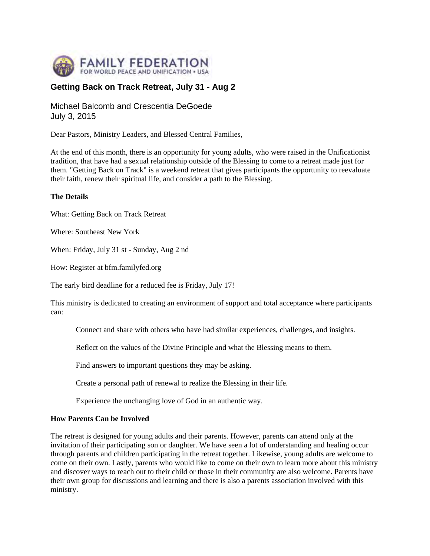

# **Getting Back on Track Retreat, July 31 - Aug 2**

Michael Balcomb and Crescentia DeGoede July 3, 2015

Dear Pastors, Ministry Leaders, and Blessed Central Families,

At the end of this month, there is an opportunity for young adults, who were raised in the Unificationist tradition, that have had a sexual relationship outside of the Blessing to come to a retreat made just for them. "Getting Back on Track" is a weekend retreat that gives participants the opportunity to reevaluate their faith, renew their spiritual life, and consider a path to the Blessing.

### **The Details**

What: Getting Back on Track Retreat

Where: Southeast New York

When: Friday, July 31 st - Sunday, Aug 2 nd

How: Register at bfm.familyfed.org

The early bird deadline for a reduced fee is Friday, July 17!

This ministry is dedicated to creating an environment of support and total acceptance where participants can:

Connect and share with others who have had similar experiences, challenges, and insights.

Reflect on the values of the Divine Principle and what the Blessing means to them.

Find answers to important questions they may be asking.

Create a personal path of renewal to realize the Blessing in their life.

Experience the unchanging love of God in an authentic way.

#### **How Parents Can be Involved**

The retreat is designed for young adults and their parents. However, parents can attend only at the invitation of their participating son or daughter. We have seen a lot of understanding and healing occur through parents and children participating in the retreat together. Likewise, young adults are welcome to come on their own. Lastly, parents who would like to come on their own to learn more about this ministry and discover ways to reach out to their child or those in their community are also welcome. Parents have their own group for discussions and learning and there is also a parents association involved with this ministry.